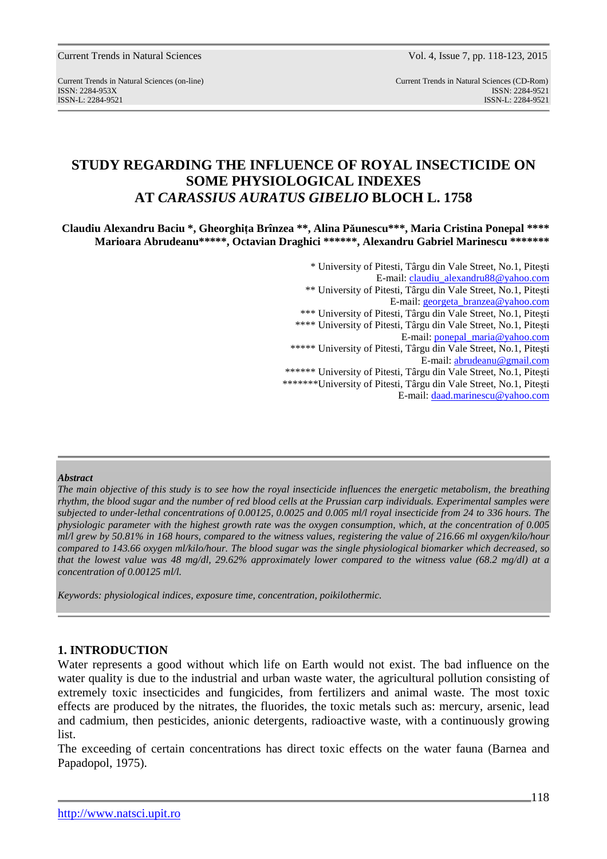Current Trends in Natural Sciences (on-line) Current Trends in Natural Sciences (CD-Rom) ISSN: 2284-953XISSN: 2284-9521 ISSN-L: 2284-9521 ISSN-L: 2284-9521

# **STUDY REGARDING THE INFLUENCE OF ROYAL INSECTICIDE ON SOME PHYSIOLOGICAL INDEXES AT** *CARASSIUS AURATUS GIBELIO* **BLOCH L. 1758**

**Claudiu Alexandru Baciu \*, Gheorghiţa Brînzea \*\*, Alina Păunescu\*\*\*, Maria Cristina Ponepal \*\*\*\* Marioara Abrudeanu\*\*\*\*\*, Octavian Draghici \*\*\*\*\*\*, Alexandru Gabriel Marinescu \*\*\*\*\*\*\*** 

> \* University of Pitesti, Târgu din Vale Street, No.1, Piteşti E-mail: claudiu\_alexandru88@yahoo.com \*\* University of Pitesti, Târgu din Vale Street, No.1, Piteşti E-mail: georgeta\_branzea@yahoo.com \*\*\* University of Pitesti, Târgu din Vale Street, No.1, Piteşti \*\*\*\* University of Pitesti, Târgu din Vale Street, No.1, Piteşti E-mail: ponepal\_maria@yahoo.com \*\*\*\*\* University of Pitesti, Târgu din Vale Street, No.1, Piteşti E-mail: abrudeanu@gmail.com \*\*\*\*\*\* University of Pitesti, Târgu din Vale Street, No.1, Piteşti \*\*\*\*\*\*\*University of Pitesti, Târgu din Vale Street, No.1, Piteşti E-mail: daad.marinescu@yahoo.com

#### *Abstract*

*The main objective of this study is to see how the royal insecticide influences the energetic metabolism, the breathing rhythm, the blood sugar and the number of red blood cells at the Prussian carp individuals. Experimental samples were subjected to under-lethal concentrations of 0.00125, 0.0025 and 0.005 ml/l royal insecticide from 24 to 336 hours. The physiologic parameter with the highest growth rate was the oxygen consumption, which, at the concentration of 0.005 ml/l grew by 50.81% in 168 hours, compared to the witness values, registering the value of 216.66 ml oxygen/kilo/hour compared to 143.66 oxygen ml/kilo/hour. The blood sugar was the single physiological biomarker which decreased, so that the lowest value was 48 mg/dl, 29.62% approximately lower compared to the witness value (68.2 mg/dl) at a concentration of 0.00125 ml/l.* 

*Keywords: physiological indices, exposure time, concentration, poikilothermic.* 

### **1. INTRODUCTION**

Water represents a good without which life on Earth would not exist. The bad influence on the water quality is due to the industrial and urban waste water, the agricultural pollution consisting of extremely toxic insecticides and fungicides, from fertilizers and animal waste. The most toxic effects are produced by the nitrates, the fluorides, the toxic metals such as: mercury, arsenic, lead and cadmium, then pesticides, anionic detergents, radioactive waste, with a continuously growing list.

The exceeding of certain concentrations has direct toxic effects on the water fauna (Barnea and Papadopol, 1975).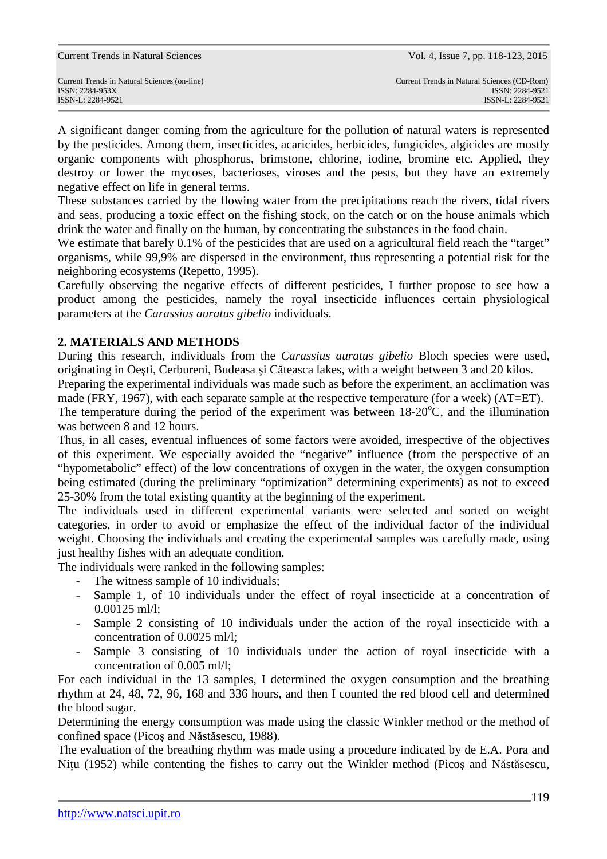A significant danger coming from the agriculture for the pollution of natural waters is represented by the pesticides. Among them, insecticides, acaricides, herbicides, fungicides, algicides are mostly organic components with phosphorus, brimstone, chlorine, iodine, bromine etc. Applied, they destroy or lower the mycoses, bacterioses, viroses and the pests, but they have an extremely negative effect on life in general terms.

These substances carried by the flowing water from the precipitations reach the rivers, tidal rivers and seas, producing a toxic effect on the fishing stock, on the catch or on the house animals which drink the water and finally on the human, by concentrating the substances in the food chain.

We estimate that barely 0.1% of the pesticides that are used on a agricultural field reach the "target" organisms, while 99,9% are dispersed in the environment, thus representing a potential risk for the neighboring ecosystems (Repetto, 1995).

Carefully observing the negative effects of different pesticides, I further propose to see how a product among the pesticides, namely the royal insecticide influences certain physiological parameters at the *Carassius auratus gibelio* individuals.

## **2. MATERIALS AND METHODS**

During this research, individuals from the *Carassius auratus gibelio* Bloch species were used, originating in Oeşti, Cerbureni, Budeasa şi Căteasca lakes, with a weight between 3 and 20 kilos.

Preparing the experimental individuals was made such as before the experiment, an acclimation was made (FRY, 1967), with each separate sample at the respective temperature (for a week) (AT=ET).

The temperature during the period of the experiment was between  $18{\text -}20^{\circ}\text{C}$ , and the illumination was between 8 and 12 hours.

Thus, in all cases, eventual influences of some factors were avoided, irrespective of the objectives of this experiment. We especially avoided the "negative" influence (from the perspective of an "hypometabolic" effect) of the low concentrations of oxygen in the water, the oxygen consumption being estimated (during the preliminary "optimization" determining experiments) as not to exceed 25-30% from the total existing quantity at the beginning of the experiment.

The individuals used in different experimental variants were selected and sorted on weight categories, in order to avoid or emphasize the effect of the individual factor of the individual weight. Choosing the individuals and creating the experimental samples was carefully made, using just healthy fishes with an adequate condition.

The individuals were ranked in the following samples:

- The witness sample of 10 individuals;
- Sample 1, of 10 individuals under the effect of royal insecticide at a concentration of 0.00125 ml/l;
- Sample 2 consisting of 10 individuals under the action of the royal insecticide with a concentration of 0.0025 ml/l;
- Sample 3 consisting of 10 individuals under the action of royal insecticide with a concentration of 0.005 ml/l;

For each individual in the 13 samples, I determined the oxygen consumption and the breathing rhythm at 24, 48, 72, 96, 168 and 336 hours, and then I counted the red blood cell and determined the blood sugar.

Determining the energy consumption was made using the classic Winkler method or the method of confined space (Picoş and Năstăsescu, 1988).

The evaluation of the breathing rhythm was made using a procedure indicated by de E.A. Pora and Niţu (1952) while contenting the fishes to carry out the Winkler method (Picoş and Năstăsescu,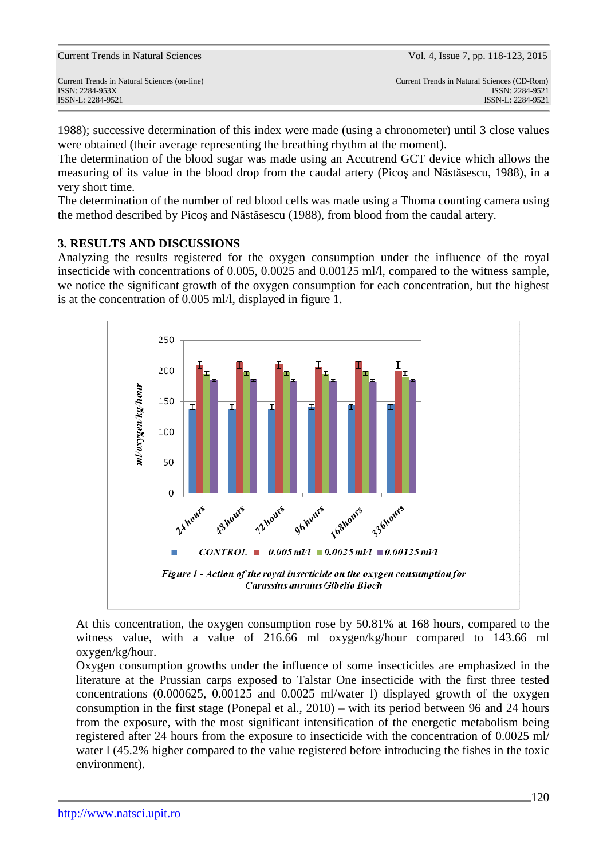1988); successive determination of this index were made (using a chronometer) until 3 close values were obtained (their average representing the breathing rhythm at the moment).

The determination of the blood sugar was made using an Accutrend GCT device which allows the measuring of its value in the blood drop from the caudal artery (Picoş and Năstăsescu, 1988), in a very short time.

The determination of the number of red blood cells was made using a Thoma counting camera using the method described by Picoş and Năstăsescu (1988), from blood from the caudal artery.

## **3. RESULTS AND DISCUSSIONS**

Analyzing the results registered for the oxygen consumption under the influence of the royal insecticide with concentrations of 0.005, 0.0025 and 0.00125 ml/l, compared to the witness sample, we notice the significant growth of the oxygen consumption for each concentration, but the highest is at the concentration of 0.005 ml/l, displayed in figure 1.



At this concentration, the oxygen consumption rose by 50.81% at 168 hours, compared to the witness value, with a value of 216.66 ml oxygen/kg/hour compared to 143.66 ml oxygen/kg/hour.

Oxygen consumption growths under the influence of some insecticides are emphasized in the literature at the Prussian carps exposed to Talstar One insecticide with the first three tested concentrations (0.000625, 0.00125 and 0.0025 ml/water l) displayed growth of the oxygen consumption in the first stage (Ponepal et al., 2010) – with its period between 96 and 24 hours from the exposure, with the most significant intensification of the energetic metabolism being registered after 24 hours from the exposure to insecticide with the concentration of 0.0025 ml/ water l (45.2% higher compared to the value registered before introducing the fishes in the toxic environment).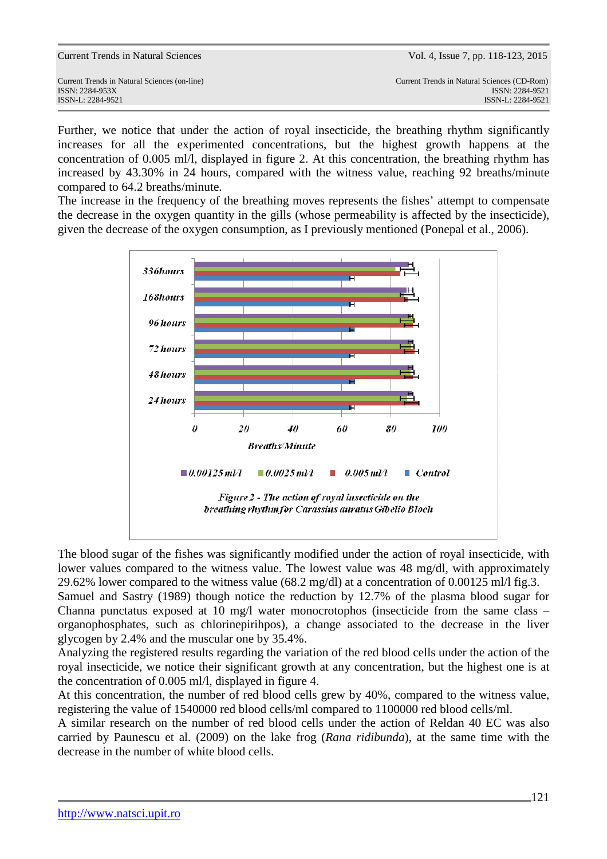| Current Trends in Natural Sciences                              | VOI. 4, ISSUE 7, pp. 110-120, 2010                             |
|-----------------------------------------------------------------|----------------------------------------------------------------|
| Current Trends in Natural Sciences (on-line)<br>ISSN: 2284-953X | Current Trends in Natural Sciences (CD-Rom)<br>ISSN: 2284-9521 |
| ISSN-L: 2284-9521                                               | ISSN-L: 2284-9521                                              |

Further, we notice that under the action of royal insecticide, the breathing rhythm significantly increases for all the experimented concentrations, but the highest growth happens at the concentration of 0.005 ml/l, displayed in figure 2. At this concentration, the breathing rhythm has increased by 43.30% in 24 hours, compared with the witness value, reaching 92 breaths/minute compared to 64.2 breaths/minute.

The increase in the frequency of the breathing moves represents the fishes' attempt to compensate the decrease in the oxygen quantity in the gills (whose permeability is affected by the insecticide), given the decrease of the oxygen consumption, as I previously mentioned (Ponepal et al., 2006).



The blood sugar of the fishes was significantly modified under the action of royal insecticide, with lower values compared to the witness value. The lowest value was 48 mg/dl, with approximately 29.62% lower compared to the witness value (68.2 mg/dl) at a concentration of 0.00125 ml/l fig.3.

Samuel and Sastry (1989) though notice the reduction by 12.7% of the plasma blood sugar for Channa punctatus exposed at 10 mg/l water monocrotophos (insecticide from the same class – organophosphates, such as chlorinepirihpos), a change associated to the decrease in the liver glycogen by 2.4% and the muscular one by 35.4%.

Analyzing the registered results regarding the variation of the red blood cells under the action of the royal insecticide, we notice their significant growth at any concentration, but the highest one is at the concentration of 0.005 ml/l, displayed in figure 4.

At this concentration, the number of red blood cells grew by 40%, compared to the witness value, registering the value of 1540000 red blood cells/ml compared to 1100000 red blood cells/ml.

A similar research on the number of red blood cells under the action of Reldan 40 EC was also carried by Paunescu et al. (2009) on the lake frog (*Rana ridibunda*), at the same time with the decrease in the number of white blood cells.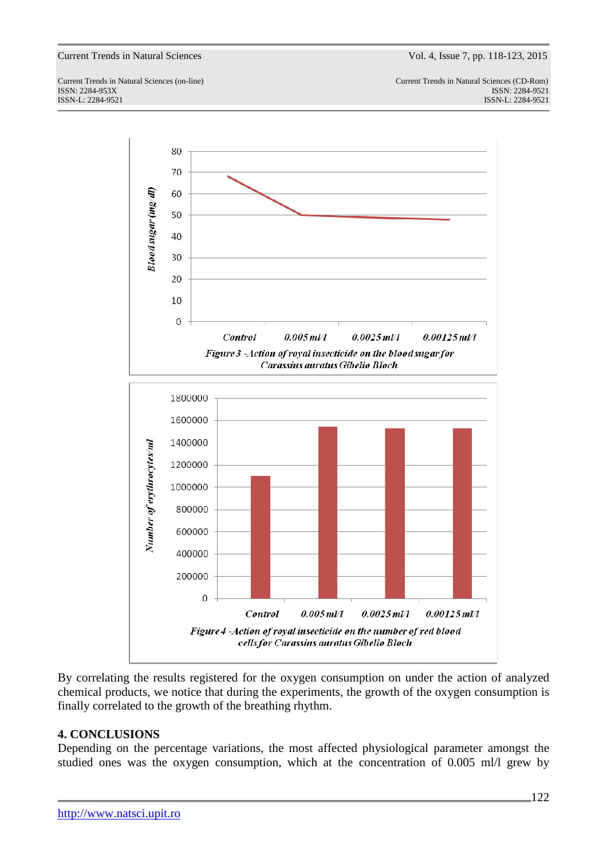Current Trends in Natural Sciences (on-line) Current Trends in Natural Sciences (CD-Rom) ISSN: 2284-953XISSN: 2284-9521 ISSN-L: 2284-9521 ISSN-L: 2284-9521



By correlating the results registered for the oxygen consumption on under the action of analyzed chemical products, we notice that during the experiments, the growth of the oxygen consumption is finally correlated to the growth of the breathing rhythm.

### **4. CONCLUSIONS**

Depending on the percentage variations, the most affected physiological parameter amongst the studied ones was the oxygen consumption, which at the concentration of 0.005 ml/l grew by